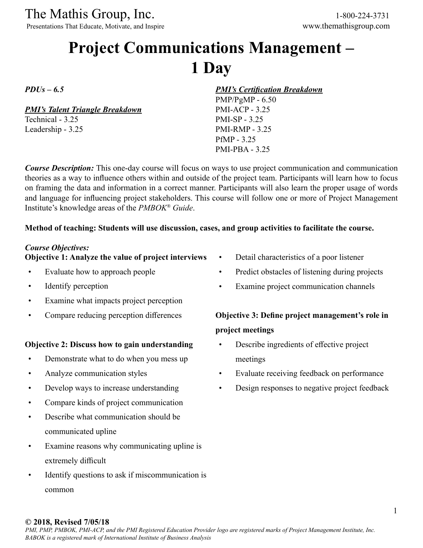The Mathis Group, Inc. 1-800-224-3731

Presentations That Educate, Motivate, and Inspire www.themathisgroup.com

## **Project Communications Management – 1 Day**

*PDUs – 6.5*

*PMI's Talent Triangle Breakdown*

Technical - 3.25 Leadership - 3.25 *PMI's Certification Breakdown*

PMP/PgMP - 6.50 PMI-ACP - 3.25 PMI-SP - 3.25 PMI-RMP - 3.25 PfMP - 3.25 PMI-PBA - 3.25

*Course Description:* This one-day course will focus on ways to use project communication and communication theories as a way to influence others within and outside of the project team. Participants will learn how to focus on framing the data and information in a correct manner. Participants will also learn the proper usage of words and language for influencing project stakeholders. This course will follow one or more of Project Management Institute's knowledge areas of the *PMBOK® Guide*.

### **Method of teaching: Students will use discussion, cases, and group activities to facilitate the course.**

### *Course Objectives:*

### **Objective 1: Analyze the value of project interviews**

- Evaluate how to approach people
- Identify perception
- Examine what impacts project perception
- Compare reducing perception differences

### **Objective 2: Discuss how to gain understanding**

- Demonstrate what to do when you mess up
- Analyze communication styles
- Develop ways to increase understanding
- Compare kinds of project communication
- Describe what communication should be communicated upline
- Examine reasons why communicating upline is extremely difficult
- Identify questions to ask if miscommunication is common
- Detail characteristics of a poor listener
- Predict obstacles of listening during projects
- Examine project communication channels

### **Objective 3: Define project management's role in project meetings**

- Describe ingredients of effective project meetings
- Evaluate receiving feedback on performance
- Design responses to negative project feedback

### **© 2018, Revised 7/05/18**

*PMI, PMP, PMBOK, PMI-ACP, and the PMI Registered Education Provider logo are registered marks of Project Management Institute, Inc. BABOK is a registered mark of International Institute of Business Analysis*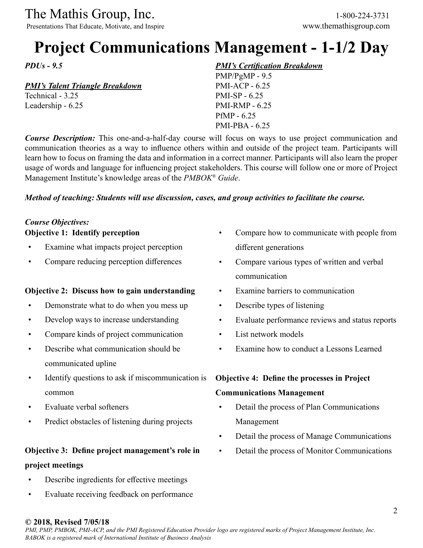The Mathis Group, Inc. 1-800-224-3731

Presentations That Educate, Motivate, and Inspire www.themathisgroup.com

## **Project Communications Management - 1-1/2 Day**

*PDUs - 9.5*

### *PMI's Talent Triangle Breakdown*

Technical - 3.25 Leadership - 6.25

### *PMI's Certification Breakdown*

PMP/PgMP - 9.5 PMI-ACP - 6.25 PMI-SP - 6.25 PMI-RMP - 6.25 PfMP - 6.25 PMI-PBA - 6.25

*Course Description:* This one-and-a-half-day course will focus on ways to use project communication and communication theories as a way to influence others within and outside of the project team. Participants will learn how to focus on framing the data and information in a correct manner. Participants will also learn the proper usage of words and language for influencing project stakeholders. This course will follow one or more of Project Management Institute's knowledge areas of the *PMBOK® Guide*.

### *Method of teaching: Students will use discussion, cases, and group activities to facilitate the course.*

### *Course Objectives:* **Objective 1: Identify perception**

- Examine what impacts project perception
- Compare reducing perception differences

### **Objective 2: Discuss how to gain understanding**

- Demonstrate what to do when you mess up
- Develop ways to increase understanding
- Compare kinds of project communication
- Describe what communication should be communicated upline
- Identify questions to ask if miscommunication is common
- Evaluate verbal softeners
- Predict obstacles of listening during projects

### **Objective 3: Define project management's role in project meetings**

- Describe ingredients for effective meetings
- Evaluate receiving feedback on performance
- Compare how to communicate with people from different generations
- Compare various types of written and verbal communication
- Examine barriers to communication
- Describe types of listening
- Evaluate performance reviews and status reports
- List network models
- Examine how to conduct a Lessons Learned

### **Objective 4: Define the processes in Project**

### **Communications Management**

- Detail the process of Plan Communications Management
- Detail the process of Manage Communications
- Detail the process of Monitor Communications

### **© 2018, Revised 7/05/18**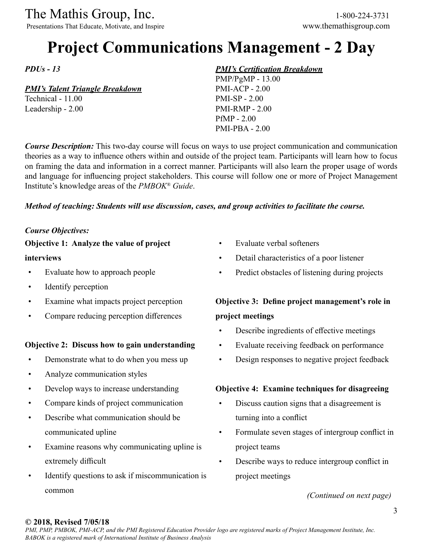The Mathis Group, Inc. 1-800-224-3731<br>
Presentations That Educate, Motivate, and Inspire www.themathisgroup.com

Presentations That Educate, Motivate, and Inspire

# **Project Communications Management - 2 Day**

*PDUs - 13*

### *PMI's Talent Triangle Breakdown*

Technical - 11.00 Leadership - 2.00

### *PMI's Certification Breakdown*

PMP/PgMP - 13.00 PMI-ACP - 2.00 PMI-SP - 2.00 PMI-RMP - 2.00 PfMP - 2.00 PMI-PBA - 2.00

*Course Description:* This two-day course will focus on ways to use project communication and communication theories as a way to influence others within and outside of the project team. Participants will learn how to focus on framing the data and information in a correct manner. Participants will also learn the proper usage of words and language for influencing project stakeholders. This course will follow one or more of Project Management Institute's knowledge areas of the *PMBOK® Guide*.

### *Method of teaching: Students will use discussion, cases, and group activities to facilitate the course.*

### *Course Objectives:*

### **Objective 1: Analyze the value of project**

### **interviews**

- Evaluate how to approach people
- Identify perception
- Examine what impacts project perception
- Compare reducing perception differences

### **Objective 2: Discuss how to gain understanding**

- Demonstrate what to do when you mess up
- Analyze communication styles
- Develop ways to increase understanding
- Compare kinds of project communication
- Describe what communication should be communicated upline
- Examine reasons why communicating upline is extremely difficult
- Identify questions to ask if miscommunication is common
- Evaluate verbal softeners
- Detail characteristics of a poor listener
- Predict obstacles of listening during projects

### **Objective 3: Define project management's role in project meetings**

- Describe ingredients of effective meetings
- Evaluate receiving feedback on performance
- Design responses to negative project feedback

### **Objective 4: Examine techniques for disagreeing**

- Discuss caution signs that a disagreement is turning into a conflict
- Formulate seven stages of intergroup conflict in project teams
- Describe ways to reduce intergroup conflict in project meetings

*(Continued on next page)*

### **© 2018, Revised 7/05/18**